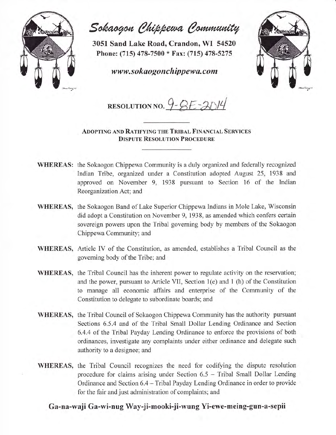

Sokaogon Chippewa Community

3051 Sand Lake Road, Crandon, WI <sup>54520</sup> Phone: (715) 478-7500 \* Fax: (715) 478-5275

www.sokaogonchippewa.com



RESOLUTION NO.  $9 - 8E - 3014$ 

ADOPTING AND RATIFYING THE TRIBAL FINANCIAL SERVICES DISPUTE RESOLUTION PROCEDURE

- WHEREAS: the Sokaogon Chippewa Community is a duly organized and federally recognized Indian Tribe, organized under a Constitution adopted August 25, 1938 and approved on November 9, 1938 pursuant to Section 16 of the Indian Reorganization Act; and
- WHEREAS, the Sokaogon Band of Lake Superior Chippewa Indians in Mole Lake, Wisconsin did adopt a Constitution on November 9, 1938, as amended which confers certain sovereign powers upon the Tribal goveming body by members of the Sokaogon Chippewa Community; and
- WHEREAS, Article IV of the Constitution, as amended, establishes a Tribal Council as the governing body of the Tribe; and
- WHEREAS, the Tribal Council has the inherent power to regulate activity on the reservation; and the power, pursuant to Article VII, Section 1(e) and 1 (h) of the Constitution to manage all economic affairs and enterprise of the Community of the Constitution to delegate to subordinate boards; and
- WHEREAS, the Tribal Council of Sokaogon Chippewa Community has the authority pursuant Sections 6.5.4 and of the Tribal Small Dollar Lending Ordinance and Section 6.4.4 of the Tribal Payday Lending Ordinance to enforce the provisions of both ordinances, investigate any complaints under either ordinance and delegate such authority to a designee; and
- WHEREAS, the Tribal Council recognizes the need for codifying the dispute resolution procedure for claims arising under Section 6.5 - Tribal Small Dollar Lending Ordinance and Section 6.4 – Tribal Payday Lending Ordinance in order to provide for the fair and just administration of complaints; and

## Ga-na-waji Ga-wi-nug Way-ji-mooki-ji-wung Yi-ewe-meing-gun-a-sepii